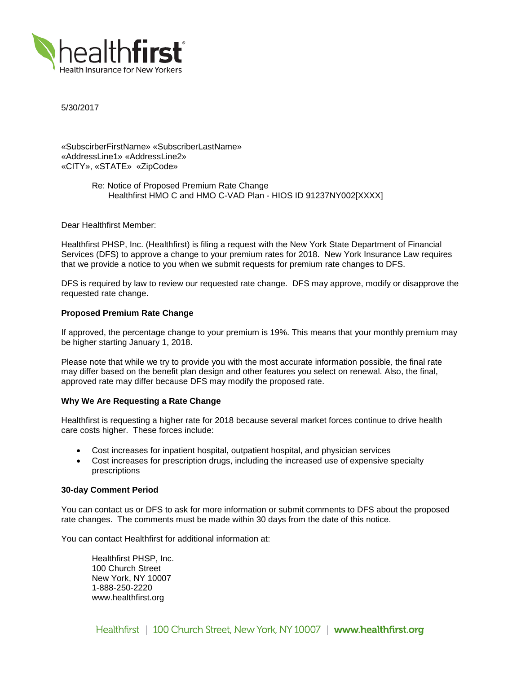

5/30/2017

«SubscirberFirstName» «SubscriberLastName» «AddressLine1» «AddressLine2» «CITY», «STATE» «ZipCode»

> Re: Notice of Proposed Premium Rate Change Healthfirst HMO C and HMO C-VAD Plan - HIOS ID 91237NY002[XXXX]

Dear Healthfirst Member:

Healthfirst PHSP, Inc. (Healthfirst) is filing a request with the New York State Department of Financial Services (DFS) to approve a change to your premium rates for 2018. New York Insurance Law requires that we provide a notice to you when we submit requests for premium rate changes to DFS.

DFS is required by law to review our requested rate change. DFS may approve, modify or disapprove the requested rate change.

# **Proposed Premium Rate Change**

If approved, the percentage change to your premium is 19%. This means that your monthly premium may be higher starting January 1, 2018.

Please note that while we try to provide you with the most accurate information possible, the final rate may differ based on the benefit plan design and other features you select on renewal. Also, the final, approved rate may differ because DFS may modify the proposed rate.

#### **Why We Are Requesting a Rate Change**

Healthfirst is requesting a higher rate for 2018 because several market forces continue to drive health care costs higher. These forces include:

- Cost increases for inpatient hospital, outpatient hospital, and physician services
- Cost increases for prescription drugs, including the increased use of expensive specialty prescriptions

### **30-day Comment Period**

You can contact us or DFS to ask for more information or submit comments to DFS about the proposed rate changes. The comments must be made within 30 days from the date of this notice.

You can contact Healthfirst for additional information at:

Healthfirst PHSP, Inc. 100 Church Street New York, NY 10007 1-888-250-2220 www.healthfirst.org